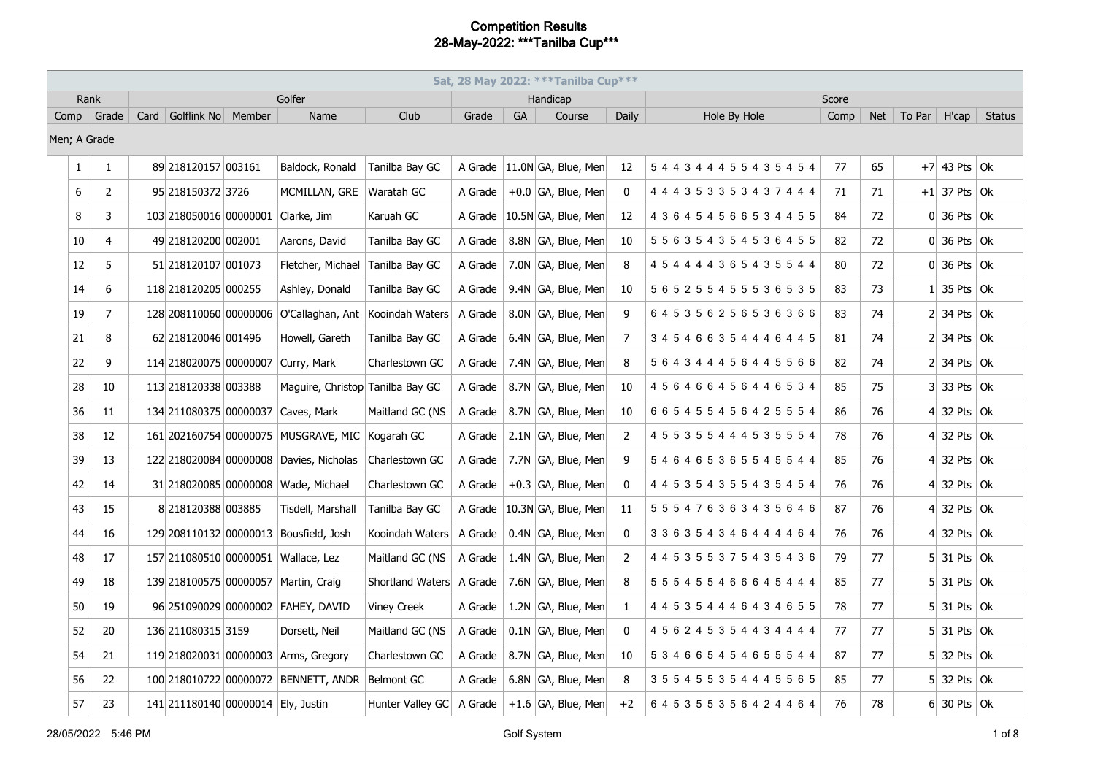| Sat, 28 May 2022: *** Tanilba Cup***<br>Rank |                |  |                                    |  |                                                 |                          |         |           |                               |                |                               |       |    |                |                                   |               |
|----------------------------------------------|----------------|--|------------------------------------|--|-------------------------------------------------|--------------------------|---------|-----------|-------------------------------|----------------|-------------------------------|-------|----|----------------|-----------------------------------|---------------|
|                                              |                |  |                                    |  | Golfer                                          |                          |         |           | Handicap                      |                |                               | Score |    |                |                                   |               |
|                                              | Comp   Grade   |  | Card   Golflink No   Member        |  | Name                                            | Club                     | Grade   | <b>GA</b> | Course                        | <b>Daily</b>   | Hole By Hole                  | Comp  |    | $Net$ To Par   | H'cap                             | <b>Status</b> |
|                                              | Men; A Grade   |  |                                    |  |                                                 |                          |         |           |                               |                |                               |       |    |                |                                   |               |
| 1                                            | $\mathbf{1}$   |  | 89 218120157 003161                |  | Baldock, Ronald                                 | Tanilba Bay GC           |         |           | A Grade 11.0N GA, Blue, Men   | 12             | 544344455435454               | 77    | 65 |                | $+7$ 43 Pts Ok                    |               |
| 6                                            | $\overline{2}$ |  | 95 218150372 3726                  |  | MCMILLAN, GRE                                   | Waratah GC               | A Grade |           | $+0.0$ GA, Blue, Men          | 0              | 4 4 4 3 5 3 3 5 3 4 3 7 4 4 4 | 71    | 71 |                | $+1$ 37 Pts   Ok                  |               |
| 8                                            | 3              |  | 103 218050016 00000001 Clarke, Jim |  |                                                 | Karuah GC                | A Grade |           | $ 10.5N GA$ , Blue, Men       | 12             | 4 3 6 4 5 4 5 6 6 5 3 4 4 5 5 | 84    | 72 |                | $0 36$ Pts $ 0k $                 |               |
| 10                                           | $\overline{4}$ |  | 49 218120200 002001                |  | Aarons, David                                   | Tanilba Bay GC           | A Grade |           | 8.8N GA, Blue, Men            | 10             | 5 5 6 3 5 4 3 5 4 5 3 6 4 5 5 | 82    | 72 |                | $0$ 36 Pts $\vert$ Ok             |               |
| 12                                           | 5              |  | 51 218120107 001073                |  | Fletcher, Michael                               | Tanilba Bay GC           | A Grade |           | 7.0N GA, Blue, Men            | 8              | 4 5 4 4 4 4 3 6 5 4 3 5 5 4 4 | 80    | 72 |                | $0 \vert 36$ Pts $\vert 0k \vert$ |               |
| 14                                           | 6              |  | 118 218120205 000255               |  | Ashley, Donald                                  | Tanilba Bay GC           | A Grade |           | 9.4N GA, Blue, Men            | 10             | 5 6 5 2 5 5 4 5 5 5 3 6 5 3 5 | 83    | 73 |                | 35 Pts $\vert$ Ok                 |               |
| 19                                           | $\overline{7}$ |  |                                    |  | 128 208110060 00000006 O'Callaghan, Ant         | Kooindah Waters          | A Grade |           | 8.0N GA, Blue, Men            | 9              | 645356256536366               | 83    | 74 |                | $2$ 34 Pts Ok                     |               |
| 21                                           | 8              |  | 62 218120046 001496                |  | Howell, Gareth                                  | Tanilba Bay GC           | A Grade |           | 6.4N GA, Blue, Men            | $\overline{7}$ | 345466354446445               | 81    | 74 |                | $2$ 34 Pts Ok                     |               |
| 22                                           | 9              |  | 114 218020075 00000007             |  | Curry, Mark                                     | Charlestown GC           | A Grade |           | 7.4N GA, Blue, Men            | 8              | 5 6 4 3 4 4 4 5 6 4 4 5 5 6 6 | 82    | 74 |                | $2$ 34 Pts Ok                     |               |
| 28                                           | 10             |  | 113 218120338 003388               |  | Maguire, Christop Tanilba Bay GC                |                          | A Grade |           | 8.7N GA, Blue, Men            | 10             | 456466456446534               | 85    | 75 |                | $3 33$ Pts $ 0k $                 |               |
| 36                                           | 11             |  |                                    |  | 134 211080375 00000037 Caves, Mark              | Maitland GC (NS          | A Grade |           | 8.7N GA, Blue, Men            | 10             | 6 6 5 4 5 5 4 5 6 4 2 5 5 5 4 | 86    | 76 | 41             | 32 Pts $\vert$ Ok                 |               |
| 38                                           | 12             |  |                                    |  | 161 202160754 00000075 MUSGRAVE, MIC            | Kogarah GC               | A Grade |           | 2.1N GA, Blue, Men            | 2              | 4 5 5 3 5 5 4 4 4 5 3 5 5 5 4 | 78    | 76 |                | 32 Pts $\vert$ Ok                 |               |
| 39                                           | 13             |  |                                    |  | 122 218020084 00000008 Davies, Nicholas         | Charlestown GC           | A Grade |           | 7.7N GA, Blue, Men            | 9              | 546465365545544               | 85    | 76 |                | 4 32 Pts $\alpha$                 |               |
| 42                                           | 14             |  |                                    |  | 31 218020085 00000008 Wade, Michael             | Charlestown GC           | A Grade |           | $+0.3$ GA, Blue, Men          | 0              | 4 4 5 3 5 4 3 5 5 4 3 5 4 5 4 | 76    | 76 | 41             | 32 Pts $\vert$ Ok                 |               |
| 43                                           | 15             |  | 8 218120388 003885                 |  | Tisdell, Marshall                               | Tanilba Bay GC           |         |           | A Grade   10.3N GA, Blue, Men | 11             | 555476363435646               | 87    | 76 | 41             | 32 Pts $\vert$ Ok                 |               |
| 44                                           | 16             |  |                                    |  | 129 208110132 00000013 Bousfield, Josh          | Kooindah Waters          | A Grade |           | 0.4N GA, Blue, Men            | $\mathbf 0$    | 3 3 6 3 5 4 3 4 6 4 4 4 4 6 4 | 76    | 76 | 4 <sup>1</sup> | 32 Pts $\vert$ Ok                 |               |
| 48                                           | 17             |  |                                    |  | 157 211080510 00000051 Wallace, Lez             | Maitland GC (NS          | A Grade |           | 1.4N GA, Blue, Men            | $\overline{2}$ | 4 4 5 3 5 5 3 7 5 4 3 5 4 3 6 | 79    | 77 |                | $5$ 31 Pts Ok                     |               |
| 49                                           | 18             |  |                                    |  | 139 218100575 00000057 Martin, Craig            | Shortland Waters A Grade |         |           | 7.6N GA, Blue, Men            | 8              | 5 5 5 4 5 5 4 6 6 6 4 5 4 4 4 | 85    | 77 |                | $5$ 31 Pts Ok                     |               |
| 50                                           | 19             |  |                                    |  | 96 251090029 00000002 FAHEY, DAVID              | <b>Viney Creek</b>       | A Grade |           | 1.2N GA, Blue, Men            | 1              | 4 4 5 3 5 4 4 4 6 4 3 4 6 5 5 | 78    | 77 |                | $5$ 31 Pts Ok                     |               |
| 52                                           | 20             |  | 136 211080315 3159                 |  | Dorsett, Neil                                   | Maitland GC (NS          | A Grade |           | $0.1N$ GA, Blue, Men          | 0              | 4 5 6 2 4 5 3 5 4 4 3 4 4 4 4 | 77    | 77 |                | 5 31 Pts   Ok                     |               |
| 54                                           | 21             |  |                                    |  | 119 218020031 00000003 Arms, Gregory            | Charlestown GC           | A Grade |           | 8.7N GA, Blue, Men            | 10             | 534665454655544               | 87    | 77 |                | $5$ 32 Pts Ok                     |               |
| 56                                           | 22             |  |                                    |  | 100 218010722 00000072 BENNETT, ANDR Belmont GC |                          | A Grade |           | 6.8N GA, Blue, Men            | 8              | 355455354445565               | 85    | 77 | 51             | 32 Pts $\vert$ Ok                 |               |
| 57                                           | 23             |  | 141 211180140 00000014 Ely, Justin |  |                                                 | Hunter Valley GC         | A Grade |           | $+1.6$ GA, Blue, Men          | $+2$           | 6 4 5 3 5 5 3 5 6 4 2 4 4 6 4 | 76    | 78 |                | $6$ 30 Pts Ok                     |               |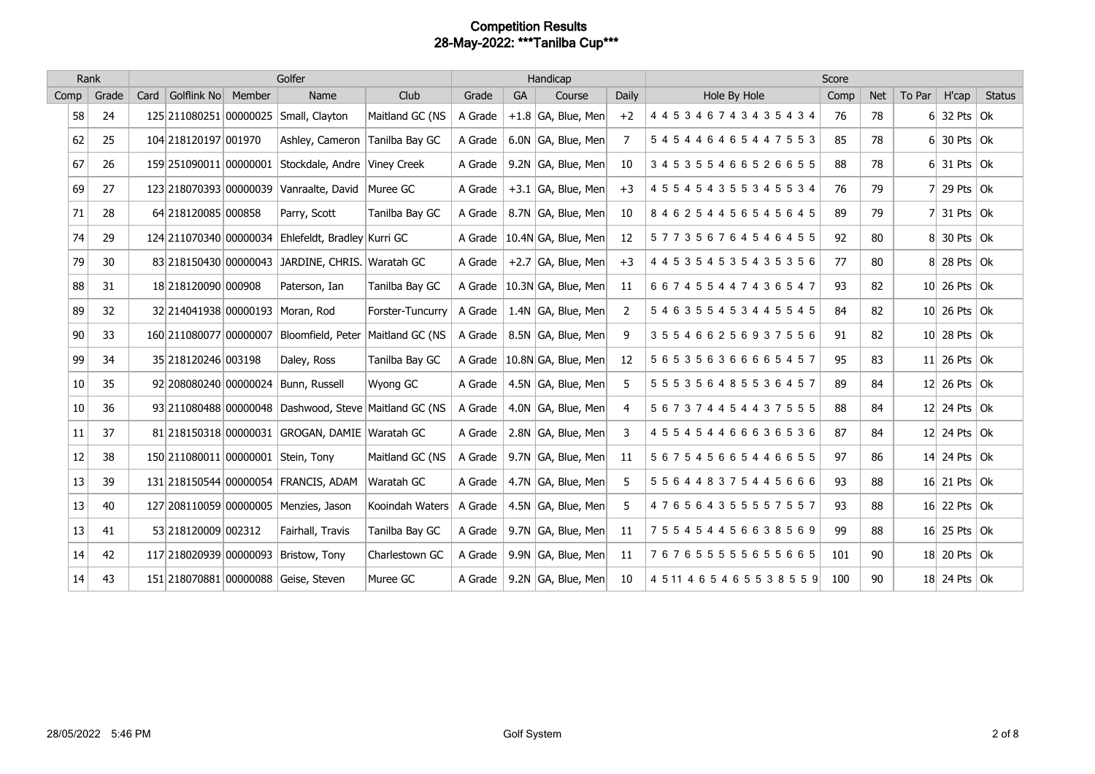|      | Rank  |      |                        | Golfer                                                |                  |           |           | Handicap                      |                | Score                          |      |            |        |                      |               |  |
|------|-------|------|------------------------|-------------------------------------------------------|------------------|-----------|-----------|-------------------------------|----------------|--------------------------------|------|------------|--------|----------------------|---------------|--|
| Comp | Grade | Card | Golflink No Member     | Name                                                  | Club             | Grade     | <b>GA</b> | Course                        | <b>Daily</b>   | Hole By Hole                   | Comp | <b>Net</b> | To Par | H'cap                | <b>Status</b> |  |
| 58   | 24    |      |                        | 125 211080251 00000025 Small, Clayton                 | Maitland GC (NS  | A Grade   |           | $+1.8$ GA, Blue, Men          | $+2$           | 4 4 5 3 4 6 7 4 3 4 3 5 4 3 4  | 76   | 78         |        | 6 32 Pts $\vert$ Ok  |               |  |
| 62   | 25    |      | 104 218120197 001970   | Ashley, Cameron                                       | Tanilba Bay GC   | A Grade   |           | 6.0N GA, Blue, Men            | 7              | 545446465447553                | 85   | 78         |        | $6$ 30 Pts Ok        |               |  |
| 67   | 26    |      |                        | 159 251090011 00000001 Stockdale, Andre Viney Creek   |                  | A Grade   |           | 9.2N GA, Blue, Men            | 10             | 345355466526655                | 88   | 78         |        | $6$ 31 Pts Ok        |               |  |
| 69   | 27    |      | 123 218070393 00000039 | Vanraalte, David                                      | Muree GC         | A Grade   |           | $+3.1$ GA, Blue, Men          | $+3$           | 4 5 5 4 5 4 3 5 5 3 4 5 5 3 4  | 76   | 79         |        | 29 Pts $ $ Ok        |               |  |
| 71   | 28    |      | 64 218120085 000858    | Parry, Scott                                          | Tanilba Bay GC   | A Grade   |           | 8.7N GA, Blue, Men            | 10             | 846254456545645                | 89   | 79         |        | 7 31 Pts $\vert$ Ok  |               |  |
| 74   | 29    |      |                        | 124 211070340 00000034 Ehlefeldt, Bradley Kurri GC    |                  | A Grade   |           | 10.4N GA, Blue, Men           | 12             | 577356764546455                | 92   | 80         |        | $8$ 30 Pts Ok        |               |  |
| 79   | 30    |      |                        | 83 218150430 00000043 JARDINE, CHRIS. Waratah GC      |                  | A Grade   |           | $+2.7$ GA, Blue, Men          | $+3$           | 4 4 5 3 5 4 5 3 5 4 3 5 3 5 6  | 77   | 80         |        | $8$ 28 Pts Ok        |               |  |
| 88   | 31    |      | 18 218120090 000908    | Paterson, Ian                                         | Tanilba Bay GC   | $A$ Grade |           | 10.3N GA, Blue, Men           | 11             | 667455447436547                | 93   | 82         |        | $10$ 26 Pts Ok       |               |  |
| 89   | 32    |      |                        | 32 214041938 00000193 Moran, Rod                      | Forster-Tuncurry | A Grade   |           | 1.4N $ GA$ , Blue, Men $ $    | 2              | 546355453445545                | 84   | 82         |        | $10$ 26 Pts Ok       |               |  |
| 90   | 33    |      | 160 211080077 00000007 | Bloomfield, Peter                                     | Maitland GC (NS  | A Grade   |           | 8.5N GA, Blue, Men            | 9              | 355466256937556                | 91   | 82         |        | $10$ 28 Pts Ok       |               |  |
| 99   | 34    |      | 35 218120246 003198    | Daley, Ross                                           | Tanilba Bay GC   |           |           | A Grade   10.8N GA, Blue, Men | 12             | 565356366665457                | 95   | 83         |        | 11 26 Pts $ 0k $     |               |  |
| 10   | 35    |      |                        | 92 208080240 00000024 Bunn, Russell                   | Wyong GC         | A Grade   |           | 4.5N GA, Blue, Men            | 5              | 555356485536457                | 89   | 84         |        | 12 26 Pts $\vert$ Ok |               |  |
| 10   | 36    |      |                        | 93 211080488 00000048 Dashwood, Steve Maitland GC (NS |                  | A Grade   |           | 4.0N GA, Blue, Men            | $\overline{4}$ | 567374454437555                | 88   | 84         |        | 12 24 Pts $\vert$ Ok |               |  |
| 11   | 37    |      |                        | 81 218150318 00000031 GROGAN, DAMIE Waratah GC        |                  | A Grade   |           | 2.8N GA, Blue, Men            | 3              | 455454466636536                | 87   | 84         |        | 12 24 Pts $\vert$ Ok |               |  |
| 12   | 38    |      |                        | 150 211080011 00000001 Stein, Tony                    | Maitland GC (NS  | $A$ Grade |           | 9.7N GA, Blue, Men            | 11             | 567545665446655                | 97   | 86         |        | 14 24 Pts $\vert$ Ok |               |  |
| 13   | 39    |      |                        | 131 218150544 00000054 FRANCIS, ADAM                  | Waratah GC       | $A$ Grade |           | 4.7N GA, Blue, Men            | 5              | 556448375445666                | 93   | 88         |        | 16 21 Pts $\vert$ Ok |               |  |
| 13   | 40    |      |                        | 127 208110059 00000005 Menzies, Jason                 | Kooindah Waters  | A Grade   |           | 4.5N GA, Blue, Men            | 5              | 476564355557557                | 93   | 88         |        | 16 22 Pts $\vert$ Ok |               |  |
| 13   | 41    |      | 53 218120009 002312    | Fairhall, Travis                                      | Tanilba Bay GC   | $A$ Grade |           | 9.7N $ GA$ , Blue, Men $ $    | 11             | 755454456638569                | 99   | 88         |        | $16$ 25 Pts Ok       |               |  |
| 14   | 42    |      |                        | 117 218020939 00000093 Bristow, Tony                  | Charlestown GC   | A Grade   |           | 9.9N GA, Blue, Men            | 11             | 767655555655665                | 101  | 90         |        | $18$ 20 Pts Ok       |               |  |
| 14   | 43    |      |                        | 151 218070881 00000088 Geise, Steven                  | Muree GC         | $A$ Grade |           | $9.2N$ GA, Blue, Men          | 10             | 4 5 11 4 6 5 4 6 5 5 3 8 5 5 9 | 100  | 90         |        | $18$ 24 Pts Ok       |               |  |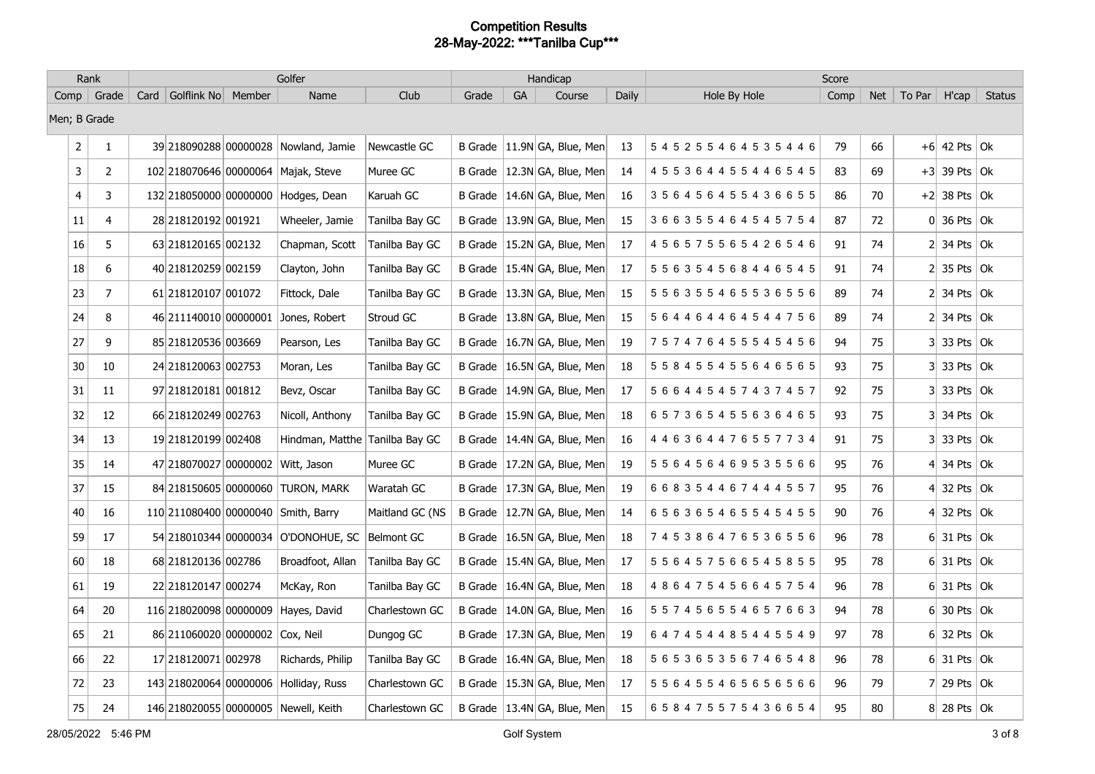|                | Rank           |                             | Golfer                                |                 |                |    | Handicap                      |       |                               | Score |            |                      |                             |               |
|----------------|----------------|-----------------------------|---------------------------------------|-----------------|----------------|----|-------------------------------|-------|-------------------------------|-------|------------|----------------------|-----------------------------|---------------|
|                | Comp   Grade   | Card   Golflink No   Member | Name                                  | Club            | Grade          | GA | Course                        | Daily | Hole By Hole                  | Comp  | <b>Net</b> | $\mid$ To Par $\mid$ | H'cap                       | <b>Status</b> |
| Men; B Grade   |                |                             |                                       |                 |                |    |                               |       |                               |       |            |                      |                             |               |
| $\overline{2}$ | 1              |                             | 39 218090288 00000028 Nowland, Jamie  | Newcastle GC    | <b>B</b> Grade |    | $ 11.9N GA$ , Blue, Men       | 13    | 545255464535446               | 79    | 66         |                      | $+6$ 42 Pts Ok              |               |
| $\mathbf{3}$   | $\overline{2}$ |                             | 102 218070646 00000064 Majak, Steve   | Muree GC        |                |    | B Grade   12.3N GA, Blue, Men | 14    | 4 5 5 3 6 4 4 5 5 4 4 6 5 4 5 | 83    | 69         |                      | $+3$ 39 Pts Ok              |               |
| $\overline{4}$ | 3              |                             | 132 218050000 00000000 Hodges, Dean   | Karuah GC       | B Grade        |    | $ 14.6N GA$ , Blue, Men       | 16    | 356456455436655               | 86    | 70         |                      | $+2$ 38 Pts Ok              |               |
| 11             | 4              | 28 218120192 001921         | Wheeler, Jamie                        | Tanilba Bay GC  | <b>B</b> Grade |    | $ 13.9N GA$ , Blue, Men       | 15    | 366355464545754               | 87    | 72         |                      | $0 \vert 36$ Pts $\vert 0k$ |               |
| 16             | 5              | 63 218120165 002132         | Chapman, Scott                        | Tanilba Bay GC  | <b>B</b> Grade |    | $ 15.2N GA$ , Blue, Men       | 17    | 456575565426546               | 91    | 74         |                      | $2$ 34 Pts $\Omega$         |               |
| 18             | 6              | 40 218120259 002159         | Clayton, John                         | Tanilba Bay GC  |                |    | B Grade   15.4N GA, Blue, Men | 17    | 5 5 6 3 5 4 5 6 8 4 4 6 5 4 5 | 91    | 74         |                      | $2$ 35 Pts Ok               |               |
| 23             | 7              | 61 218120107 001072         | Fittock, Dale                         | Tanilba Bay GC  |                |    | B Grade   13.3N GA, Blue, Men | 15    | 5 5 6 3 5 5 4 6 5 5 3 6 5 5 6 | 89    | 74         |                      | $2$ 34 Pts Ok               |               |
| 24             | 8              | 46 211140010 00000001       | Jones, Robert                         | Stroud GC       | B Grade        |    | $ 13.8N GA$ , Blue, Men       | 15    | 5 6 4 4 6 4 4 6 4 5 4 4 7 5 6 | 89    | 74         |                      | $2$ 34 Pts Ok               |               |
| 27             | 9              | 85 218120536 003669         | Pearson, Les                          | Tanilba Bay GC  |                |    | B Grade   16.7N GA, Blue, Men | 19    | 757476455545456               | 94    | 75         |                      | $3$ 33 Pts Ok               |               |
| 30             | 10             | 24 218120063 002753         | Moran, Les                            | Tanilba Bay GC  | <b>B</b> Grade |    | 16.5N GA, Blue, Men           | 18    | 5 5 8 4 5 5 4 5 5 6 4 6 5 6 5 | 93    | 75         |                      | $3 33$ Pts $ 0k $           |               |
| 31             | 11             | 97 218120181 001812         | Bevz, Oscar                           | Tanilba Bay GC  |                |    | B Grade   14.9N GA, Blue, Men | 17    | 5 6 6 4 4 5 4 5 7 4 3 7 4 5 7 | 92    | 75         |                      | $3 33$ Pts $ 0k $           |               |
| 32             | 12             | 66 218120249 002763         | Nicoll, Anthony                       | Tanilba Bay GC  |                |    | B Grade   15.9N GA, Blue, Men | 18    | 657365455636465               | 93    | 75         |                      | $3$ 34 Pts Ok               |               |
| 34             | 13             | 19 218120199 002408         | Hindman, Matthe                       | Tanilba Bay GC  |                |    | B Grade   14.4N GA, Blue, Men | 16    | 4 4 6 3 6 4 4 7 6 5 5 7 7 3 4 | 91    | 75         |                      | $3$ 33 Pts Ok               |               |
| 35             | 14             | 47 218070027 00000002       | Witt, Jason                           | Muree GC        |                |    | B Grade   17.2N GA, Blue, Men | 19    | 5 5 6 4 5 6 4 6 9 5 3 5 5 6 6 | 95    | 76         |                      | 4 34 Pts $\vert$ Ok         |               |
| 37             | 15             |                             | 84 218150605 00000060 TURON, MARK     | Waratah GC      |                |    | B Grade   17.3N GA, Blue, Men | 19    | 668354467444557               | 95    | 76         |                      | 4 32 Pts $\Omega$           |               |
| 40             | 16             |                             | 110 211080400 00000040 Smith, Barry   | Maitland GC (NS |                |    | B Grade   12.7N GA, Blue, Men | 14    | 656365465545455               | 90    | 76         |                      | 4 32 Pts $\Omega$           |               |
| 59             | $17\,$         |                             | 54 218010344 00000034 O'DONOHUE, SC   | Belmont GC      |                |    | B Grade   16.5N GA, Blue, Men | 18    | 745386476536556               | 96    | 78         |                      | $6$ 31 Pts Ok               |               |
| 60             | 18             | 68 218120136 002786         | Broadfoot, Allan                      | Tanilba Bay GC  | B Grade        |    | $ 15.4N GA$ , Blue, Men       | 17    | 556457566545855               | 95    | 78         |                      | $6$ 31 Pts $\vert$ Ok       |               |
| 61             | 19             | 22 218120147 000274         | McKay, Ron                            | Tanilba Bay GC  |                |    | B Grade   16.4N GA, Blue, Men | 18    | 486475456645754               | 96    | 78         |                      | $6$ 31 Pts Ok               |               |
| 64             | 20             | 116 218020098 00000009      | Hayes, David                          | Charlestown GC  | B Grade        |    | $ 14.0N GA$ , Blue, Men       | 16    | 557456554657663               | 94    | 78         |                      | $6 30$ Pts $ 0k $           |               |
| 65             | 21             | 86 211060020 00000002       | Cox, Neil                             | Dungog GC       |                |    | B Grade   17.3N GA, Blue, Men | 19    | 647454485445549               | 97    | 78         |                      | $6$ 32 Pts Ok               |               |
| 66             | 22             | 17 218120071 002978         | Richards, Philip                      | Tanilba Bay GC  |                |    | B Grade   16.4N GA, Blue, Men | 18    | 5 6 5 3 6 5 3 5 6 7 4 6 5 4 8 | 96    | 78         |                      | $6$ 31 Pts Ok               |               |
| 72             | 23             |                             | 143 218020064 00000006 Holliday, Russ | Charlestown GC  |                |    | B Grade   15.3N GA, Blue, Men | 17    | 5 5 6 4 5 5 4 6 5 6 5 6 5 6 6 | 96    | 79         |                      | 7 29 Pts $\vert$ Ok         |               |
| 75             | 24             |                             | 146 218020055 00000005 Newell, Keith  | Charlestown GC  |                |    | B Grade   13.4N GA, Blue, Men | 15    | 658475575436654               | 95    | 80         |                      | $8$ 28 Pts Ok               |               |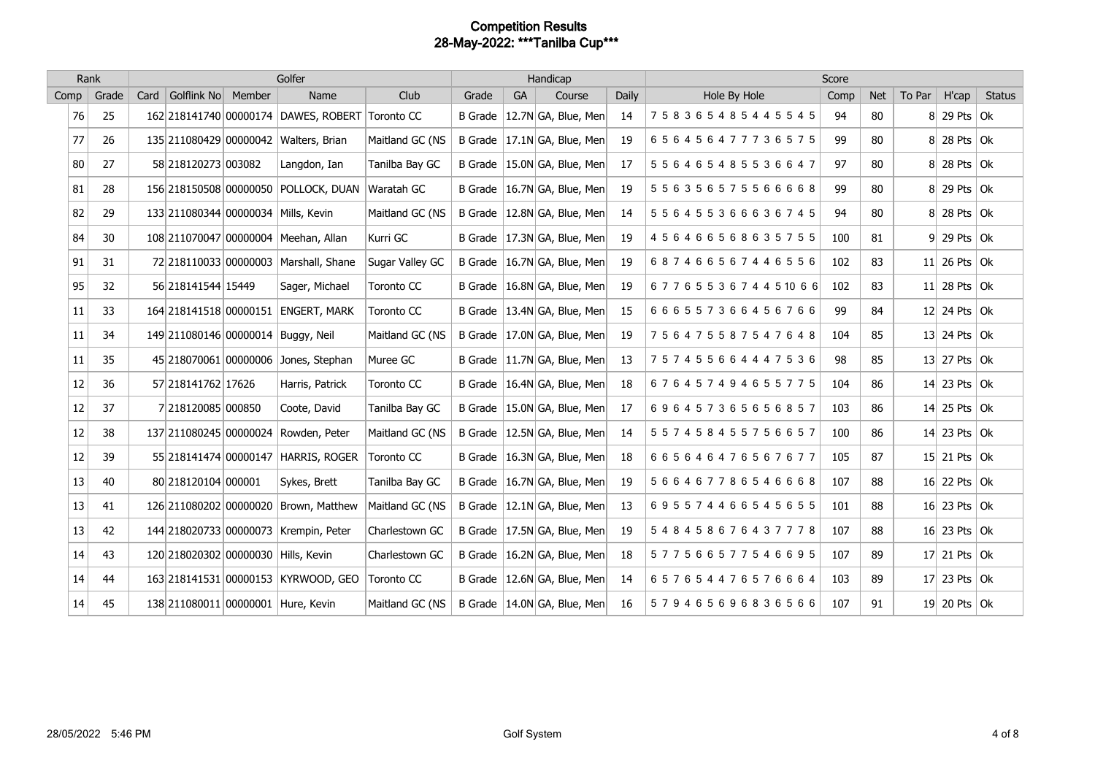|      | Rank  |                                     | Golfer |                                                 |                 |       | Handicap  |                               |       | Score                         |      |            |        |                      |               |
|------|-------|-------------------------------------|--------|-------------------------------------------------|-----------------|-------|-----------|-------------------------------|-------|-------------------------------|------|------------|--------|----------------------|---------------|
| Comp | Grade | Card Golflink No Member             |        | Name                                            | Club            | Grade | <b>GA</b> | Course                        | Daily | Hole By Hole                  | Comp | <b>Net</b> | To Par | H'cap                | <b>Status</b> |
| 76   | 25    |                                     |        | 162 218141740 00000174 DAWES, ROBERT Toronto CC |                 |       |           | B Grade   12.7N GA, Blue, Men | 14    | 758365485445545               | 94   | 80         |        | $8$ 29 Pts Ok        |               |
| 77   | 26    |                                     |        | 135 211080429 00000042 Walters, Brian           | Maitland GC (NS |       |           | B Grade   17.1N GA, Blue, Men | 19    | 656456477736575               | 99   | 80         |        | $8$ 28 Pts Ok        |               |
| 80   | 27    | 58 218120273 003082                 |        | Langdon, Ian                                    | Tanilba Bay GC  |       |           | B Grade   15.0N GA, Blue, Men | 17    | 556465485536647               | 97   | 80         |        | $8$ 28 Pts Ok        |               |
| 81   | 28    |                                     |        | 156 218150508 00000050 POLLOCK, DUAN            | Waratah GC      |       |           | B Grade   16.7N GA, Blue, Men | 19    | 556356575566668               | 99   | 80         |        | $8$ 29 Pts Ok        |               |
| 82   | 29    |                                     |        | 133 211080344 00000034 Mills, Kevin             | Maitland GC (NS |       |           | B Grade   12.8N GA, Blue, Men | 14    | 5 5 6 4 5 5 3 6 6 6 3 6 7 4 5 | 94   | 80         |        | $8$ 28 Pts Ok        |               |
| 84   | 30    |                                     |        | 108 211070047 00000004 Meehan, Allan            | Kurri GC        |       |           | B Grade   17.3N GA, Blue, Men | 19    | 456466568635755               | 100  | 81         |        | $9$ 29 Pts Ok        |               |
| 91   | 31    |                                     |        | 72 218110033 00000003 Marshall, Shane           | Sugar Valley GC |       |           | B Grade   16.7N GA, Blue, Men | 19    | 687466567446556               | 102  | 83         |        | 11 26 Pts $\vert$ Ok |               |
| 95   | 32    | 56 218141544 15449                  |        | Sager, Michael                                  | Toronto CC      |       |           | B Grade   16.8N GA, Blue, Men | 19    | 6776553674451066              | 102  | 83         |        | 11 28 Pts $\vert$ Ok |               |
| 11   | 33    |                                     |        | 164 218141518 00000151 ENGERT, MARK             | Toronto CC      |       |           | B Grade   13.4N GA, Blue, Men | 15    | 666557366456766               | 99   | 84         |        | 12 24 Pts $\vert$ Ok |               |
| 11   | 34    |                                     |        | 149 211080146 00000014 Buggy, Neil              | Maitland GC (NS |       |           | B Grade   17.0N GA, Blue, Men | 19    | 756475587547648               | 104  | 85         |        | 13 24 Pts $\alpha$   |               |
| 11   | 35    |                                     |        | 45 218070061 00000006 Jones, Stephan            | Muree GC        |       |           | B Grade   11.7N GA, Blue, Men | 13    | 757455664447536               | 98   | 85         |        | 13 27 Pts $\alpha$   |               |
| 12   | 36    | 57 218141762 17626                  |        | Harris, Patrick                                 | Toronto CC      |       |           | B Grade   16.4N GA, Blue, Men | 18    | 676457494655775               | 104  | 86         |        | 14 23 Pts $\vert$ Ok |               |
| 12   | 37    | 7 218120085 000850                  |        | Coote, David                                    | Tanilba Bay GC  |       |           | B Grade   15.0N GA, Blue, Men | 17    | 696457365656857               | 103  | 86         |        | 14 25 Pts $\vert$ Ok |               |
| 12   | 38    |                                     |        | 137 211080245 00000024 Rowden, Peter            | Maitland GC (NS |       |           | B Grade   12.5N GA, Blue, Men | 14    | 557458455756657               | 100  | 86         |        | 14 23 Pts $\vert$ Ok |               |
| 12   | 39    |                                     |        | 55 218141474 00000147 HARRIS, ROGER             | Toronto CC      |       |           | B Grade   16.3N GA, Blue, Men | 18    | 665646476567677               | 105  | 87         |        | $15$ 21 Pts Ok       |               |
| 13   | 40    | 80 218120104 000001                 |        | Sykes, Brett                                    | Tanilba Bay GC  |       |           | B Grade   16.7N GA, Blue, Men | 19    | 566467786546668               | 107  | 88         |        | 16 22 Pts $\vert$ Ok |               |
| 13   | 41    |                                     |        | 126 211080202 00000020 Brown, Matthew           | Maitland GC (NS |       |           | B Grade   12.1N GA, Blue, Men | 13    | 695574466545655               | 101  | 88         |        | 16 23 Pts $\vert$ Ok |               |
| 13   | 42    |                                     |        | 144 218020733 00000073 Krempin, Peter           | Charlestown GC  |       |           | B Grade   17.5N GA, Blue, Men | 19    | 548458676437778               | 107  | 88         |        | 16 23 Pts $\vert$ Ok |               |
| 14   | 43    | 120 218020302 00000030 Hills, Kevin |        |                                                 | Charlestown GC  |       |           | B Grade   16.2N GA, Blue, Men | 18    | 577566577546695               | 107  | 89         |        | 17 21 Pts $ Ok$      |               |
| 14   | 44    |                                     |        | 163 218141531 00000153 KYRWOOD, GEO             | Toronto CC      |       |           | B Grade   12.6N GA, Blue, Men | 14    | 657654476576664               | 103  | 89         |        | 17 23 Pts $\vert$ Ok |               |
| 14   | 45    |                                     |        | 138 211080011 00000001 Hure, Kevin              | Maitland GC (NS |       |           | B Grade   14.0N GA, Blue, Men | 16    | 579465696836566               | 107  | 91         |        | 19 20 Pts $\vert$ Ok |               |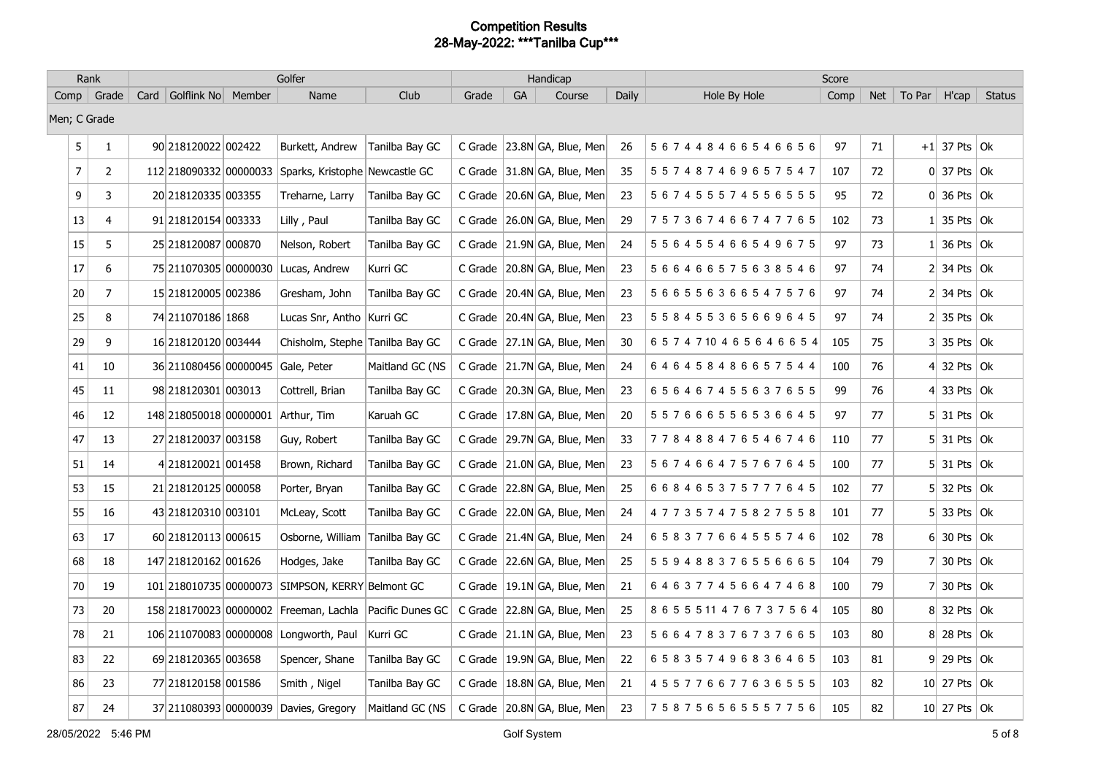|                | Rank           |                             | Golfer                                                  |                 |       |    | Handicap                        |              |                                | Score |            |                |                                   |               |
|----------------|----------------|-----------------------------|---------------------------------------------------------|-----------------|-------|----|---------------------------------|--------------|--------------------------------|-------|------------|----------------|-----------------------------------|---------------|
|                | Comp   Grade   | Card   Golflink No   Member | Name                                                    | Club            | Grade | GA | Course                          | <b>Daily</b> | Hole By Hole                   | Comp  | <b>Net</b> | To Par $\vert$ | H'cap                             | <b>Status</b> |
| Men; C Grade   |                |                             |                                                         |                 |       |    |                                 |              |                                |       |            |                |                                   |               |
| 5              | $\mathbf{1}$   | 90 218120022 002422         | Burkett, Andrew                                         | Tanilba Bay GC  |       |    | C Grade 23.8N GA, Blue, Men     | 26           | 567448466546656                | 97    | 71         |                | $+1$ 37 Pts Ok                    |               |
| $\overline{7}$ | $\overline{2}$ | 112 218090332 00000033      | Sparks, Kristophe Newcastle GC                          |                 |       |    | C Grade 31.8N GA, Blue, Men     | 35           | 557487469657547                | 107   | 72         |                | $0 \mid 37$ Pts $\mid$ Ok         |               |
| 9              | 3              | 20 218120335 003355         | Treharne, Larry                                         | Tanilba Bay GC  |       |    | C Grade   20.6N GA, Blue, Men   | 23           | 5 6 7 4 5 5 5 7 4 5 5 6 5 5 5  | 95    | 72         |                | $0 \vert 36$ Pts $\vert 0k \vert$ |               |
| 13             | 4              | 91 218120154 003333         | Lilly, Paul                                             | Tanilba Bay GC  |       |    | C Grade   26.0N GA, Blue, Men   | 29           | 757367466747765                | 102   | 73         |                | $1$ 35 Pts Ok                     |               |
| 15             | 5              | 25 218120087 000870         | Nelson, Robert                                          | Tanilba Bay GC  |       |    | C Grade 21.9N GA, Blue, Men     | 24           | 556455466549675                | 97    | 73         |                | $1 \vert 36$ Pts $\vert 0k \vert$ |               |
| 17             | 6              | 75 211070305 00000030       | Lucas, Andrew                                           | Kurri GC        |       |    | C Grade   20.8N GA, Blue, Men   | 23           | 566466575638546                | 97    | 74         |                | $2$ 34 Pts Ok                     |               |
| 20             | 7              | 15 218120005 002386         | Gresham, John                                           | Tanilba Bay GC  |       |    | C Grade   20.4N GA, Blue, Men   | 23           | 566556366547576                | 97    | 74         |                | $2$ 34 Pts Ok                     |               |
| 25             | 8              | 74 211070186 1868           | Lucas Snr, Antho   Kurri GC                             |                 |       |    | C Grade   20.4N GA, Blue, Men   | 23           | 558455365669645                | 97    | 74         |                | $2$ 35 Pts Ok                     |               |
| 29             | 9              | 16 218120120 003444         | Chisholm, Stephe Tanilba Bay GC                         |                 |       |    | C Grade   27.1N GA, Blue, Men   | 30           | 6574710465646654               | 105   | 75         |                | $3$ 35 Pts Ok                     |               |
| 41             | 10             | 36 211080456 00000045       | Gale, Peter                                             | Maitland GC (NS |       |    | C Grade 21.7N GA, Blue, Men     | 24           | 646458486657544                | 100   | 76         |                | 4 32 Pts $\vert$ Ok               |               |
| 45             | 11             | 98 218120301 003013         | Cottrell, Brian                                         | Tanilba Bay GC  |       |    | C Grade   20.3N GA, Blue, Men   | 23           | 656467455637655                | 99    | 76         |                | 4 33 Pts $\vert$ Ok               |               |
| 46             | 12             | 148 218050018 00000001      | Arthur, Tim                                             | Karuah GC       |       |    | C Grade   17.8N GA, Blue, Men   | 20           | 557666556536645                | 97    | 77         |                | $5$ 31 Pts Ok                     |               |
| 47             | 13             | 27 218120037 003158         | Guy, Robert                                             | Tanilba Bay GC  |       |    | C Grade   29.7N GA, Blue, Men   | 33           | 778488476546746                | 110   | 77         |                | $5$ 31 Pts $\vert$ Ok             |               |
| 51             | 14             | 4218120021 001458           | Brown, Richard                                          | Tanilba Bay GC  |       |    | C Grade   21.0N GA, Blue, Men   | 23           | 567466475767645                | 100   | 77         |                | $5$ 31 Pts Ok                     |               |
| 53             | 15             | 21 218120125 000058         | Porter, Bryan                                           | Tanilba Bay GC  |       |    | C Grade 22.8N GA, Blue, Men     | 25           | 668465375777645                | 102   | 77         |                | $5$ 32 Pts $\overline{Ok}$        |               |
| 55             | 16             | 43 218120310 003101         | McLeay, Scott                                           | Tanilba Bay GC  |       |    | C Grade   22.0N GA, Blue, Men   | 24           | 477357475827558                | 101   | 77         |                | $5$ 33 Pts Ok                     |               |
| 63             | 17             | 60 218120113 000615         | Osborne, William Tanilba Bay GC                         |                 |       |    | C Grade   21.4N GA, Blue, Men   | 24           | 658377664555746                | 102   | 78         |                | $6$ 30 Pts Ok                     |               |
| 68             | 18             | 147 218120162 001626        | Hodges, Jake                                            | Tanilba Bay GC  |       |    | C Grade $ 22.6N GA$ , Blue, Men | 25           | 559488376556665                | 104   | 79         | 71             | 30 Pts $\vert$ Ok                 |               |
| 70             | 19             | 101 218010735 00000073      | SIMPSON, KERRY Belmont GC                               |                 |       |    | C Grade   19.1N GA, Blue, Men   | 21           | 646377456647468                | 100   | 79         |                | 7 30 Pts $\vert$ Ok               |               |
| 73             | 20             |                             | 158 218170023 00000002 Freeman, Lachla Pacific Dunes GC |                 |       |    | C Grade 22.8N GA, Blue, Men     | 25           | 8 6 5 5 5 11 4 7 6 7 3 7 5 6 4 | 105   | 80         |                | 8 32 Pts Ok                       |               |
| 78             | 21             | 106 211070083 000000008     | Longworth, Paul                                         | Kurri GC        |       |    | C Grade $ 21.1N GA$ , Blue, Men | 23           | 566478376737665                | 103   | 80         |                | 8 28 Pts Ok                       |               |
| 83             | 22             | 69 218120365 003658         | Spencer, Shane                                          | Tanilba Bay GC  |       |    | C Grade   19.9N GA, Blue, Men   | 22           | 658357496836465                | 103   | 81         |                | $9$ 29 Pts Ok                     |               |
| 86             | 23             | 77 218120158 001586         | Smith, Nigel                                            | Tanilba Bay GC  |       |    | C Grade   18.8N GA, Blue, Men   | 21           | 455776677636555                | 103   | 82         |                | 10 27 Pts $ Ok$                   |               |
| 87             | 24             |                             | 37 211080393 00000039 Davies, Gregory                   | Maitland GC (NS |       |    | C Grade   20.8N GA, Blue, Men   | 23           | 758756565557756                | 105   | 82         |                | 10 27 Pts Ok                      |               |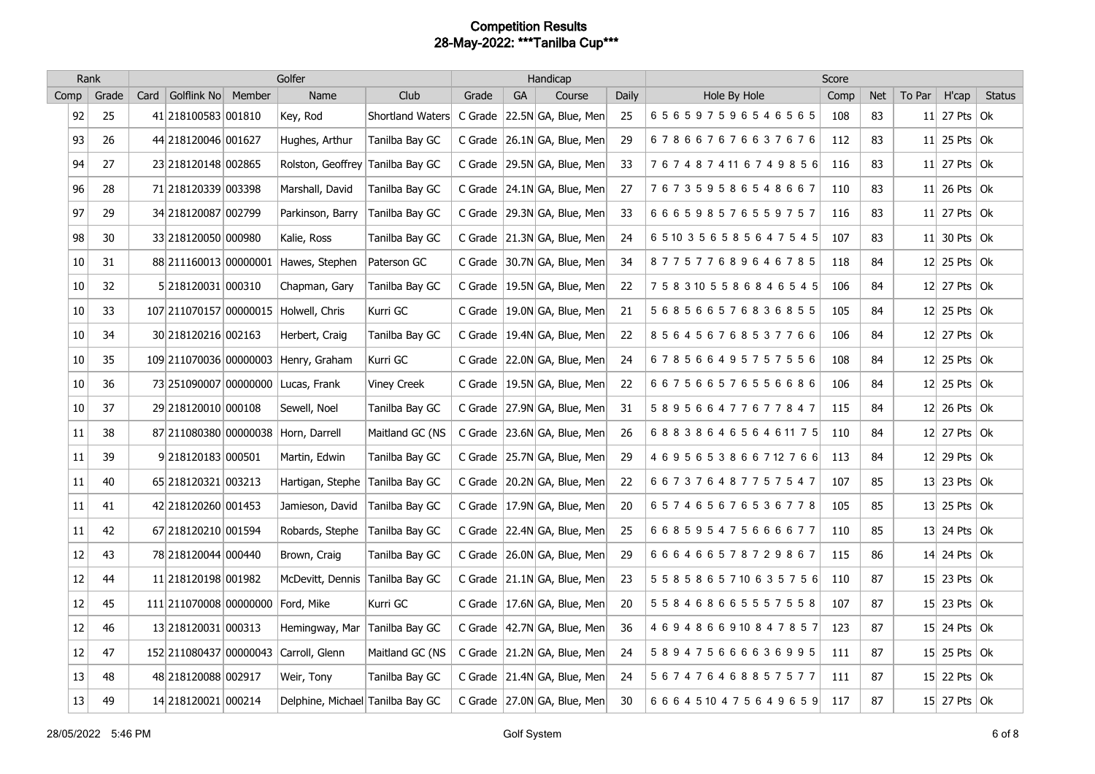|      | Rank  |      |                                   | Golfer                                |                    |       |           | Handicap                        |       |                                | Score |            |        |                      |               |
|------|-------|------|-----------------------------------|---------------------------------------|--------------------|-------|-----------|---------------------------------|-------|--------------------------------|-------|------------|--------|----------------------|---------------|
| Comp | Grade | Card | Golflink No Member                | Name                                  | Club               | Grade | <b>GA</b> | Course                          | Daily | Hole By Hole                   | Comp  | <b>Net</b> | To Par | H'cap                | <b>Status</b> |
| 92   | 25    |      | 41 218100583 001810               | Key, Rod                              | Shortland Waters   |       |           | C Grade 22.5N GA, Blue, Men     | 25    | 656597596546565                | 108   | 83         |        | 11 27 Pts $ 0k $     |               |
| 93   | 26    |      | 44 218120046 001627               | Hughes, Arthur                        | Tanilba Bay GC     |       |           | C Grade   26.1N GA, Blue, Men   | 29    | 678667676637676                | 112   | 83         |        | 11 25 Pts $\vert$ Ok |               |
| 94   | 27    |      | 23 218120148 002865               | Rolston, Geoffrey                     | Tanilba Bay GC     |       |           | C Grade   29.5N GA, Blue, Men   | 33    | 7674874116749856               | 116   | 83         |        | 11 27 Pts $ 0k $     |               |
| 96   | 28    |      | 71 218120339 003398               | Marshall, David                       | Tanilba Bay GC     |       |           | C Grade 24.1N GA, Blue, Men     | 27    | 767359586548667                | 110   | 83         |        | $11$ 26 Pts Ok       |               |
| 97   | 29    |      | 34 218120087 002799               | Parkinson, Barry                      | Tanilba Bay GC     |       |           | C Grade   29.3N GA, Blue, Men   | 33    | 666598576559757                | 116   | 83         |        | 11 27 Pts $\vert$ Ok |               |
| 98   | 30    |      | 33 218120050 000980               | Kalie, Ross                           | Tanilba Bay GC     |       |           | C Grade 21.3N GA, Blue, Men     | 24    | 6 5 10 3 5 6 5 8 5 6 4 7 5 4 5 | 107   | 83         |        | 11 30 Pts $ $ Ok     |               |
| 10   | 31    |      | 88 211160013 00000001             | Hawes, Stephen                        | Paterson GC        |       |           | C Grade 30.7N GA, Blue, Men     | 34    | 877577689646785                | 118   | 84         |        | $12$ 25 Pts Ok       |               |
| 10   | 32    |      | 5 218120031 000310                | Chapman, Gary                         | Tanilba Bay GC     |       |           | C Grade   19.5N GA, Blue, Men   | 22    | 7 5 8 3 10 5 5 8 6 8 4 6 5 4 5 | 106   | 84         |        | 12 27 Pts $\alpha$   |               |
| 10   | 33    |      |                                   | 107 211070157 00000015 Holwell, Chris | Kurri GC           |       |           | C Grade   19.0N GA, Blue, Men   | 21    | 568566576836855                | 105   | 84         |        | 12 25 Pts $ 0k $     |               |
| 10   | 34    |      | 30 218120216 002163               | Herbert, Craig                        | Tanilba Bay GC     |       |           | C Grade   19.4N GA, Blue, Men   | 22    | 856456768537766                | 106   | 84         |        | 12 27 Pts $\alpha$   |               |
| 10   | 35    |      |                                   | 109 211070036 00000003 Henry, Graham  | Kurri GC           |       |           | C Grade 22.0N GA, Blue, Men     | 24    | 678566495757556                | 108   | 84         |        | 12 25 Pts $\vert$ Ok |               |
| 10   | 36    |      |                                   | 73 251090007 00000000 Lucas, Frank    | <b>Viney Creek</b> |       |           | C Grade   19.5N GA, Blue, Men   | 22    | 667566576556686                | 106   | 84         |        | $12$ 25 Pts Ok       |               |
| 10   | 37    |      | 29 218120010 000108               | Sewell, Noel                          | Tanilba Bay GC     |       |           | C Grade 27.9N GA, Blue, Men     | 31    | 589566477677847                | 115   | 84         |        | $12$ 26 Pts Ok       |               |
| 11   | 38    |      |                                   | 87 211080380 00000038 Horn, Darrell   | Maitland GC (NS    |       |           | C Grade $ 23.6N GA$ , Blue, Men | 26    | 6883864656461175               | 110   | 84         |        | 12 27 Pts $\alpha$   |               |
| 11   | 39    |      | 9 218120183 000501                | Martin, Edwin                         | Tanilba Bay GC     |       |           | C Grade   25.7N GA, Blue, Men   | 29    | 4 6 9 5 6 5 3 8 6 6 7 12 7 6 6 | 113   | 84         |        | 12 29 Pts $ 0k $     |               |
| 11   | 40    |      | 65 218120321 003213               | Hartigan, Stephe                      | Tanilba Bay GC     |       |           | C Grade 20.2N GA, Blue, Men     | 22    | 667376487757547                | 107   | 85         |        | 13 23 Pts $\vert$ Ok |               |
| 11   | 41    |      | 42 218120260 001453               | Jamieson, David                       | Tanilba Bay GC     |       |           | C Grade   17.9N GA, Blue, Men   | 20    | 657465676536778                | 105   | 85         |        | 13 25 Pts $\vert$ Ok |               |
| 11   | 42    |      | 67 218120210 001594               | Robards, Stephe                       | Tanilba Bay GC     |       |           | C Grade   22.4N GA, Blue, Men   | 25    | 668595475666677                | 110   | 85         |        | 13 24 Pts $\alpha$   |               |
| 12   | 43    |      | 78 218120044 000440               | Brown, Craig                          | Tanilba Bay GC     |       |           | C Grade   26.0N GA, Blue, Men   | 29    | 666466578729867                | 115   | 86         |        | 14 24 Pts $\vert$ Ok |               |
| 12   | 44    |      | 11 218120198 001982               | McDevitt, Dennis                      | Tanilba Bay GC     |       |           | C Grade 21.1N GA, Blue, Men     | 23    | 5 5 8 5 8 6 5 7 10 6 3 5 7 5 6 | 110   | 87         |        | 15 23 Pts $\vert$ Ok |               |
| 12   | 45    |      | 111 211070008 00000000 Ford, Mike |                                       | Kurri GC           |       |           | C Grade   17.6N GA, Blue, Men   | 20    | 558468665557558                | 107   | 87         |        | 15 23 Pts $ 0k $     |               |
| 12   | 46    |      | 13 218120031 000313               | Hemingway, Mar                        | Tanilba Bay GC     |       |           | C Grade   42.7N GA, Blue, Men   | 36    | 4694866910847857               | 123   | 87         |        | 15 24 Pts $\alpha$   |               |
| 12   | 47    |      |                                   | 152 211080437 00000043 Carroll, Glenn | Maitland GC (NS    |       |           | C Grade 21.2N GA, Blue, Men     | 24    | 589475666636995                | 111   | 87         |        | $15$ 25 Pts Ok       |               |
| 13   | 48    |      | 48 218120088 002917               | Weir, Tony                            | Tanilba Bay GC     |       |           | C Grade   21.4N GA, Blue, Men   | 24    | 567476468857577                | 111   | 87         |        | 15 22 Pts $\alpha$   |               |
| 13   | 49    |      | 14 218120021 000214               | Delphine, Michael Tanilba Bay GC      |                    |       |           | C Grade 27.0N GA, Blue, Men     | 30    | 6 6 6 4 5 10 4 7 5 6 4 9 6 5 9 | 117   | 87         |        | $15$ 27 Pts Ok       |               |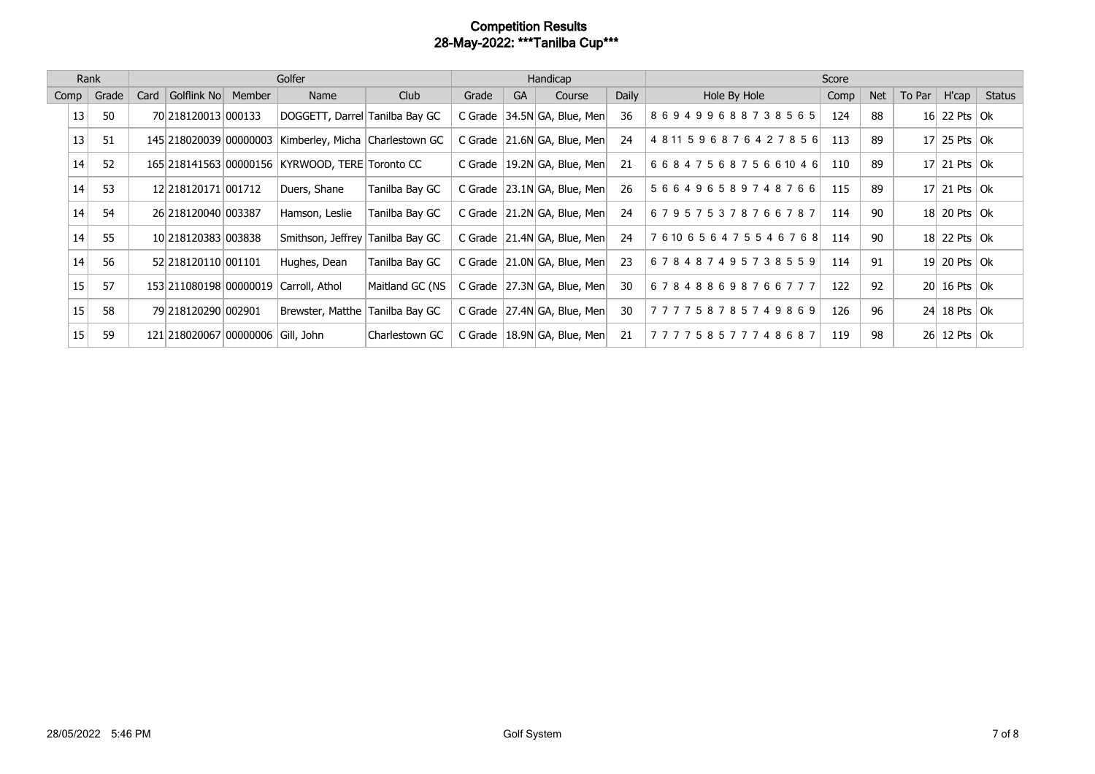|      | Rank  |      |                                   | Golfer                                          |                 |       |           | Handicap                        |       | Score                          |      |            |                 |                           |        |  |
|------|-------|------|-----------------------------------|-------------------------------------------------|-----------------|-------|-----------|---------------------------------|-------|--------------------------------|------|------------|-----------------|---------------------------|--------|--|
| Comp | Grade | Card | Golflink No Member                | Name                                            | Club            | Grade | <b>GA</b> | Course                          | Daily | Hole By Hole                   | Comp | <b>Net</b> | To Par          | H'cap                     | Status |  |
| 13   | 50    |      | 70 218120013 000133               | DOGGETT, Darrel Tanilba Bay GC                  |                 |       |           | C Grade 34.5N GA, Blue, Men     | 36    | 869499688738565                | 124  | 88         |                 | 16 22 Pts   Ok            |        |  |
| 13   | 51    |      | 145 218020039 00000003            | Kimberley, Micha Charlestown GC                 |                 |       |           | C Grade   21.6N GA, Blue, Men   | 24    | 4 8 11 5 9 6 8 7 6 4 2 7 8 5 6 | 113  | 89         | 17 <sup>1</sup> | 25 Pts $ $ Ok             |        |  |
| 14   | 52    |      |                                   | 165 218141563 00000156 KYRWOOD, TERE Toronto CC |                 |       |           | C Grade $ 19.2N GA$ , Blue, Men | 21    | 6 6 8 4 7 5 6 8 7 5 6 6 10 4 6 | 110  | 89         |                 | 17 21 Pts $ 0k $          |        |  |
| 14   | 53    |      | 12 218 120 171 00 1712            | Duers, Shane                                    | Tanilba Bay GC  |       |           | C Grade   23.1N GA, Blue, Men   | 26    | 566496589748766                | 115  | 89         |                 | 17 21 Pts $ 0k $          |        |  |
| 14   | 54    |      | 26 218120040 003387               | Hamson, Leslie                                  | Tanilba Bay GC  |       |           | C Grade   21.2N GA, Blue, Men   | 24    | 679575378766787                | 114  | 90         |                 | 18 20 Pts Ok              |        |  |
| 14   | 55    |      | 10 218120383 003838               | Smithson, Jeffrey Tanilba Bay GC                |                 |       |           | C Grade   21.4N GA, Blue, Men   | 24    | 7 6 10 6 5 6 4 7 5 5 4 6 7 6 8 | 114  | 90         |                 | 18 22 Pts Ok              |        |  |
| 14   | 56    |      | 52 218 120 110 00 110 1           | Hughes, Dean                                    | Tanilba Bay GC  |       |           | C Grade   21.0N GA, Blue, Men   | 23    | 678487495738559                | 114  | 91         | 19 <sup>°</sup> | $\vert$ 20 Pts $\vert$ Ok |        |  |
| 15   | 57    |      | 153 211080198 00000019            | Carroll, Athol                                  | Maitland GC (NS |       |           | C Grade 27.3N GA, Blue, Men     | 30    | 678488698766777                | 122  | 92         |                 | $20$   16 Pts   Ok        |        |  |
| 15   | 58    |      | 79 218 120 290 00 290 1           | Brewster, Matthe                                | Tanilba Bay GC  |       |           | C Grade   27.4N GA, Blue, Men   | 30    | 777758785749869                | 126  | 96         | 24              | 18 Pts $ $ Ok             |        |  |
| 15   | 59    |      | 121 218020067 00000006 Gill, John |                                                 | Charlestown GC  |       |           | C Grade   18.9N GA, Blue, Men   | -21   | 777758577748687                | 119  | 98         |                 | 26 12 Pts Ok              |        |  |